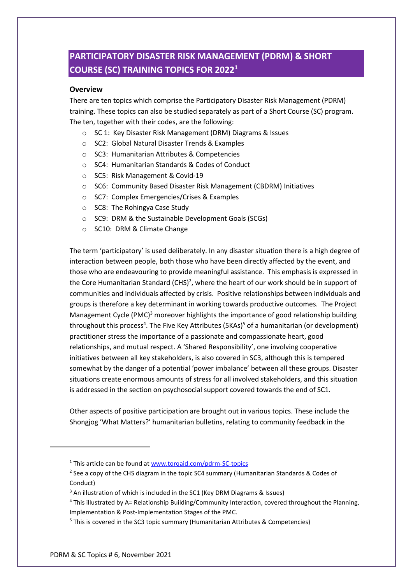# **PARTICIPATORY DISASTER RISK MANAGEMENT (PDRM) & SHORT COURSE (SC) TRAINING TOPICS FOR 2022<sup>1</sup>**

#### **Overview**

There are ten topics which comprise the Participatory Disaster Risk Management (PDRM) training. These topics can also be studied separately as part of a Short Course (SC) program. The ten, together with their codes, are the following:

- o SC 1: Key Disaster Risk Management (DRM) Diagrams & Issues
- o SC2: Global Natural Disaster Trends & Examples
- o SC3: Humanitarian Attributes & Competencies
- o SC4: Humanitarian Standards & Codes of Conduct
- o SC5: Risk Management & Covid-19
- o SC6: Community Based Disaster Risk Management (CBDRM) Initiatives
- o SC7: Complex Emergencies/Crises & Examples
- o SC8: The Rohingya Case Study
- o SC9: DRM & the Sustainable Development Goals (SCGs)
- o SC10: DRM & Climate Change

The term 'participatory' is used deliberately. In any disaster situation there is a high degree of interaction between people, both those who have been directly affected by the event, and those who are endeavouring to provide meaningful assistance. This emphasis is expressed in the Core Humanitarian Standard (CHS)<sup>2</sup>, where the heart of our work should be in support of communities and individuals affected by crisis. Positive relationships between individuals and groups is therefore a key determinant in working towards productive outcomes. The Project Management Cycle (PMC)<sup>3</sup> moreover highlights the importance of good relationship building throughout this process<sup>4</sup>. The Five Key Attributes (5KAs)<sup>5</sup> of a humanitarian (or development) practitioner stress the importance of a passionate and compassionate heart, good relationships, and mutual respect. A 'Shared Responsibility', one involving cooperative initiatives between all key stakeholders, is also covered in SC3, although this is tempered somewhat by the danger of a potential 'power imbalance' between all these groups. Disaster situations create enormous amounts of stress for all involved stakeholders, and this situation is addressed in the section on psychosocial support covered towards the end of SC1.

Other aspects of positive participation are brought out in various topics. These include the Shongjog 'What Matters?' humanitarian bulletins, relating to community feedback in the

<sup>&</sup>lt;sup>1</sup> This article can be found at [www.torqaid.com/pdrm-SC-topics](http://www.torqaid.com/pdrm-SC-topics)

<sup>&</sup>lt;sup>2</sup> See a copy of the CHS diagram in the topic SC4 summary (Humanitarian Standards & Codes of Conduct)

<sup>&</sup>lt;sup>3</sup> An illustration of which is included in the SC1 (Key DRM Diagrams & Issues)

<sup>4</sup> This illustrated by A= Relationship Building/Community Interaction, covered throughout the Planning, Implementation & Post-Implementation Stages of the PMC.

<sup>5</sup> This is covered in the SC3 topic summary (Humanitarian Attributes & Competencies)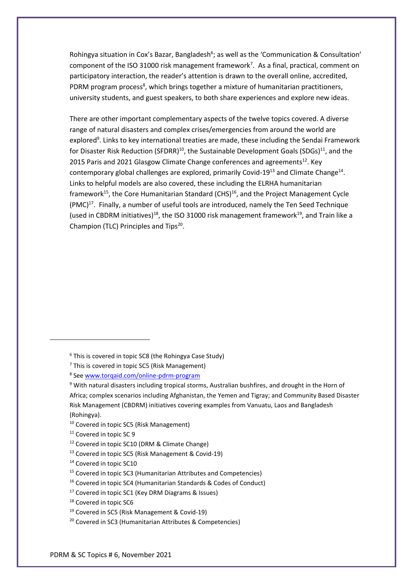Rohingya situation in Cox's Bazar, Bangladesh<sup>6</sup>; as well as the 'Communication & Consultation' component of the ISO 31000 risk management framework<sup>7</sup>. As a final, practical, comment on participatory interaction, the reader's attention is drawn to the overall online, accredited, PDRM program process<sup>8</sup>, which brings together a mixture of humanitarian practitioners, university students, and guest speakers, to both share experiences and explore new ideas.

There are other important complementary aspects of the twelve topics covered. A diverse range of natural disasters and complex crises/emergencies from around the world are explored<sup>9</sup>. Links to key international treaties are made, these including the Sendai Framework for Disaster Risk Reduction (SFDRR)<sup>10</sup>, the Sustainable Development Goals (SDGs)<sup>11</sup>, and the 2015 Paris and 2021 Glasgow Climate Change conferences and agreements<sup>12</sup>. Key contemporary global challenges are explored, primarily Covid-19<sup>13</sup> and Climate Change<sup>14</sup>. Links to helpful models are also covered, these including the ELRHA humanitarian framework<sup>15</sup>, the Core Humanitarian Standard (CHS)<sup>16</sup>, and the Project Management Cycle  $(PMC)^{17}$ . Finally, a number of useful tools are introduced, namely the Ten Seed Technique (used in CBDRM initiatives)<sup>18</sup>, the ISO 31000 risk management framework<sup>19</sup>, and Train like a Champion (TLC) Principles and Tips<sup>20</sup>.

<sup>14</sup> Covered in topic SC10

<sup>6</sup> This is covered in topic SC8 (the Rohingya Case Study)

 $<sup>7</sup>$  This is covered in topic SC5 (Risk Management)</sup>

<sup>&</sup>lt;sup>8</sup> Se[e www.torqaid.com/online-pdrm-program](http://www.torqaid.com/online-pdrm-program)

<sup>9</sup> With natural disasters including tropical storms, Australian bushfires, and drought in the Horn of Africa; complex scenarios including Afghanistan, the Yemen and Tigray; and Community Based Disaster Risk Management (CBDRM) initiatives covering examples from Vanuatu, Laos and Bangladesh (Rohingya).

<sup>&</sup>lt;sup>10</sup> Covered in topic SC5 (Risk Management)

<sup>&</sup>lt;sup>11</sup> Covered in topic SC 9

<sup>12</sup> Covered in topic SC10 (DRM & Climate Change)

<sup>13</sup> Covered in topic SC5 (Risk Management & Covid-19)

<sup>&</sup>lt;sup>15</sup> Covered in topic SC3 (Humanitarian Attributes and Competencies)

<sup>16</sup> Covered in topic SC4 (Humanitarian Standards & Codes of Conduct)

<sup>17</sup> Covered in topic SC1 (Key DRM Diagrams & Issues)

<sup>&</sup>lt;sup>18</sup> Covered in topic SC6

<sup>19</sup> Covered in SC5 (Risk Management & Covid-19)

<sup>20</sup> Covered in SC3 (Humanitarian Attributes & Competencies)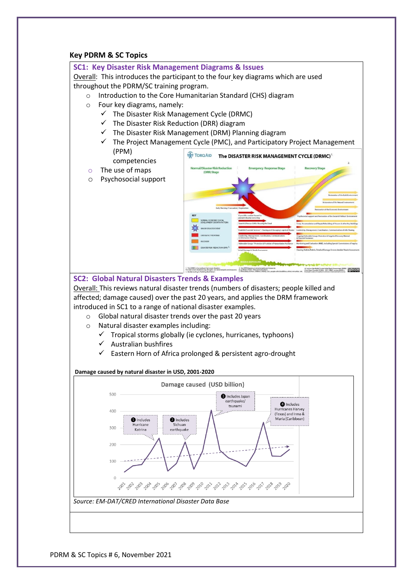#### **Key PDRM & SC Topics**

#### **SC1: Key Disaster Risk Management Diagrams & Issues**

Overall: This introduces the participant to the four key diagrams which are used throughout the PDRM/SC training program.

o Introduction to the Core Humanitarian Standard (CHS) diagram

- o Four key diagrams, namely:
	- $\checkmark$  The Disaster Risk Management Cycle (DRMC)
	- $\checkmark$  The Disaster Risk Reduction (DRR) diagram
	- ✓ The Disaster Risk Management (DRM) Planning diagram
	- $\checkmark$  The Project Management Cycle (PMC), and Participatory Project Management
- (PPM) TORQAID The DISASTER RISK MANAGEMENT CYCLE (DRMC) competencies o The use of maps (DRR) Stag o Psychosocial support



 $\omega$ 

**SC2: Global Natural Disasters Trends & Examples**

Overall: This reviews natural disaster trends (numbers of disasters; people killed and affected; damage caused) over the past 20 years, and applies the DRM framework introduced in SC1 to a range of national disaster examples.

- o Global natural disaster trends over the past 20 years
- o Natural disaster examples including:
	- ✓ Tropical storms globally (ie cyclones, hurricanes, typhoons)
	- ✓ Australian bushfires
	- ✓ Eastern Horn of Africa prolonged & persistent agro-drought

#### **Damage caused by natural disaster in USD, 2001-2020**

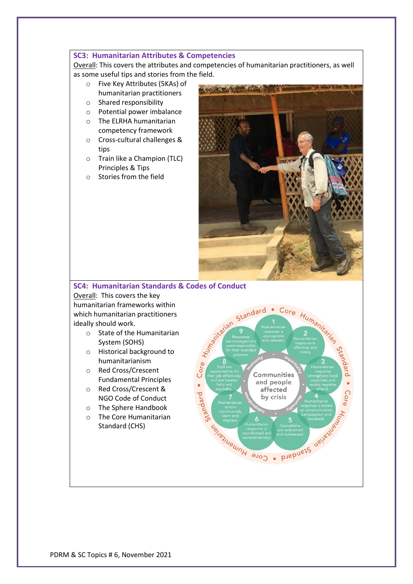#### **SC3: Humanitarian Attributes & Competencies**

Overall: This covers the attributes and competencies of humanitarian practitioners, as well as some useful tips and stories from the field.

- o Five Key Attributes (5KAs) of humanitarian practitioners
- o Shared responsibility
- o Potential power imbalance
- o The ELRHA humanitarian competency framework
- o Cross-cultural challenges & tips
- o Train like a Champion (TLC) Principles & Tips
- o Stories from the field



## **SC4: Humanitarian Standards & Codes of Conduct**

Overall: This covers the key humanitarian frameworks within which humanitarian practitioners ideally should work.

- o State of the Humanitarian System (SOHS)
- o Historical background to humanitarianism
- o Red Cross/Crescent Fundamental Principles
- o Red Cross/Crescent & NGO Code of Conduct
- o The Sphere Handbook
- o The Core Humanitarian Standard (CHS)

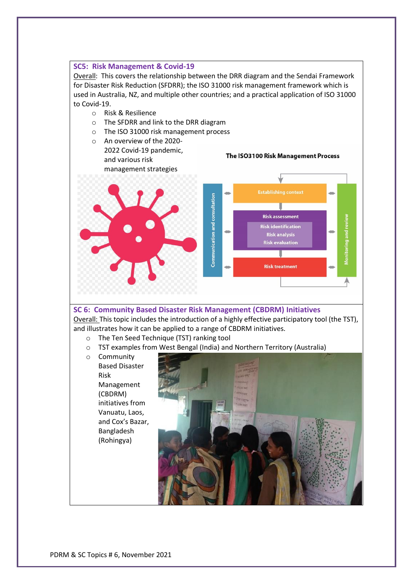#### **SC5: Risk Management & Covid-19**

Overall: This covers the relationship between the DRR diagram and the Sendai Framework for Disaster Risk Reduction (SFDRR); the ISO 31000 risk management framework which is used in Australia, NZ, and multiple other countries; and a practical application of ISO 31000 to Covid-19.

- o Risk & Resilience
- o The SFDRR and link to the DRR diagram
- o The ISO 31000 risk management process
- o An overview of the 2020- 2022 Covid-19 pandemic, and various risk

The ISO3100 Risk Management Process



#### **SC 6: Community Based Disaster Risk Management (CBDRM) Initiatives**

Overall: This topic includes the introduction of a highly effective participatory tool (the TST), and illustrates how it can be applied to a range of CBDRM initiatives.

- o The Ten Seed Technique (TST) ranking tool
- o TST examples from West Bengal (India) and Northern Territory (Australia)
- o Community Based Disaster Risk Management (CBDRM) initiatives from Vanuatu, Laos, and Cox's Bazar, Bangladesh (Rohingya)

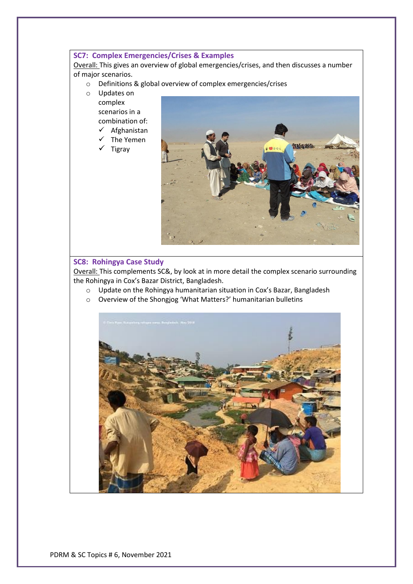#### **SC7: Complex Emergencies/Crises & Examples**

Overall: This gives an overview of global emergencies/crises, and then discusses a number of major scenarios.

- o Definitions & global overview of complex emergencies/crises
- o Updates on complex scenarios in a combination of: ✓ Afghanistan
	- ✓ The Yemen
	- ✓ Tigray



#### **SC8: Rohingya Case Study**

Overall: This complements SC&, by look at in more detail the complex scenario surrounding the Rohingya in Cox's Bazar District, Bangladesh.

- o Update on the Rohingya humanitarian situation in Cox's Bazar, Bangladesh
- o Overview of the Shongjog 'What Matters?' humanitarian bulletins

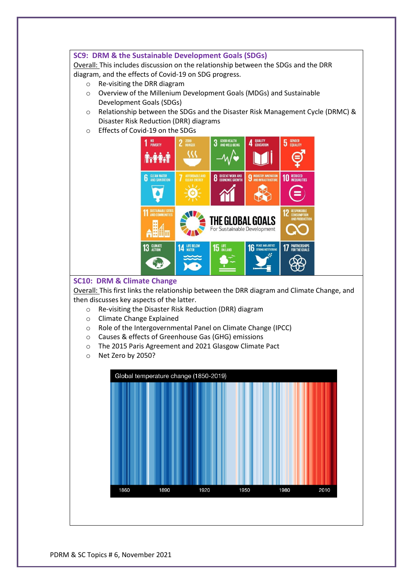#### **SC9: DRM & the Sustainable Development Goals (SDGs)**

Overall: This includes discussion on the relationship between the SDGs and the DRR diagram, and the effects of Covid-19 on SDG progress.

- o Re-visiting the DRR diagram
- o Overview of the Millenium Development Goals (MDGs) and Sustainable Development Goals (SDGs)
- o Relationship between the SDGs and the Disaster Risk Management Cycle (DRMC) & Disaster Risk Reduction (DRR) diagrams
- o Effects of Covid-19 on the SDGs



#### **SC10: DRM & Climate Change**

Overall: This first links the relationship between the DRR diagram and Climate Change, and then discusses key aspects of the latter.

- o Re-visiting the Disaster Risk Reduction (DRR) diagram
- o Climate Change Explained
- o Role of the Intergovernmental Panel on Climate Change (IPCC)
- o Causes & effects of Greenhouse Gas (GHG) emissions
- o The 2015 Paris Agreement and 2021 Glasgow Climate Pact
- o Net Zero by 2050?

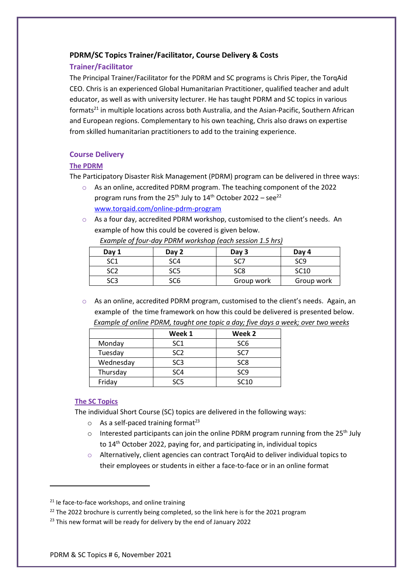### **PDRM/SC Topics Trainer/Facilitator, Course Delivery & Costs**

### **Trainer/Facilitator**

The Principal Trainer/Facilitator for the PDRM and SC programs is Chris Piper, the TorqAid CEO. Chris is an experienced Global Humanitarian Practitioner, qualified teacher and adult educator, as well as with university lecturer. He has taught PDRM and SC topics in various formats<sup>21</sup> in multiple locations across both Australia, and the Asian-Pacific, Southern African and European regions. Complementary to his own teaching, Chris also draws on expertise from skilled humanitarian practitioners to add to the training experience.

## **Course Delivery**

### **The PDRM**

The Participatory Disaster Risk Management (PDRM) program can be delivered in three ways:

- o As an online, accredited PDRM program. The teaching component of the 2022 program runs from the 25<sup>th</sup> July to  $14<sup>th</sup>$  October 2022 – see<sup>22</sup> [www.torqaid.com/online-pdrm-program](http://www.torqaid.com/online-pdrm-program)
- $\circ$  As a four day, accredited PDRM workshop, customised to the client's needs. An example of how this could be covered is given below.

| .<br>- - - - - - - - -<br>$  -$ |                 |            |                  |
|---------------------------------|-----------------|------------|------------------|
| Day 1                           | Day 2           | Day 3      | Day 4            |
| SC <sub>1</sub>                 | SC <sub>4</sub> | SC.        | SC9              |
| SC2                             | SC <sub>5</sub> | SC8        | SC <sub>10</sub> |
| SC <sub>3</sub>                 | SC6             | Group work | Group work       |

*Example of four-day PDRM workshop (each session 1.5 hrs)*

 $\circ$  As an online, accredited PDRM program, customised to the client's needs. Again, an example of the time framework on how this could be delivered is presented below. *Example of online PDRM, taught one topic a day; five days a week; over two weeks*

|           | Week 1          | Week 2           |
|-----------|-----------------|------------------|
| Monday    | SC <sub>1</sub> | SC <sub>6</sub>  |
| Tuesday   | SC <sub>2</sub> | SC <sub>7</sub>  |
| Wednesday | SC <sub>3</sub> | SC <sub>8</sub>  |
| Thursday  | SC <sub>4</sub> | SC <sub>9</sub>  |
| Friday    | 908             | SC <sub>10</sub> |

### **The SC Topics**

The individual Short Course (SC) topics are delivered in the following ways:

- $\circ$  As a self-paced training format<sup>23</sup>
- $\circ$  Interested participants can join the online PDRM program running from the 25<sup>th</sup> July to 14<sup>th</sup> October 2022, paying for, and participating in, individual topics
- $\circ$  Alternatively, client agencies can contract TorgAid to deliver individual topics to their employees or students in either a face-to-face or in an online format

 $21$  Ie face-to-face workshops, and online training

 $22$  The 2022 brochure is currently being completed, so the link here is for the 2021 program

<sup>&</sup>lt;sup>23</sup> This new format will be ready for delivery by the end of January 2022